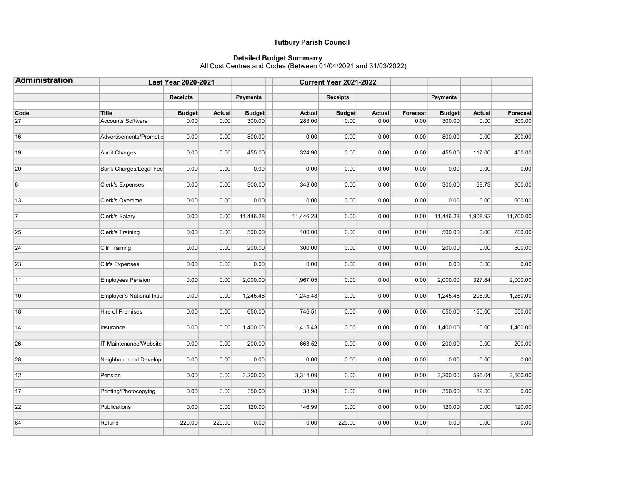## Tutbury Parish Council

## Detailed Budget Summarry All Cost Centres and Codes (Between 01/04/2021 and 31/03/2022)

| <b>Administration</b> | <b>Last Year 2020-2021</b> |                 |               |                 | <b>Current Year 2021-2022</b> |                 |               |          |                 |               |           |
|-----------------------|----------------------------|-----------------|---------------|-----------------|-------------------------------|-----------------|---------------|----------|-----------------|---------------|-----------|
|                       |                            | <b>Receipts</b> |               | <b>Payments</b> |                               | <b>Receipts</b> |               |          | <b>Payments</b> |               |           |
| Code                  | Title                      | <b>Budget</b>   | <b>Actual</b> | <b>Budget</b>   | <b>Actual</b>                 | <b>Budget</b>   | <b>Actual</b> | Forecast | <b>Budget</b>   | <b>Actual</b> | Forecast  |
| $\overline{27}$       | <b>Accounts Software</b>   | 0.00            | 0.00          | 300.00          | 283.00                        | 0.00            | 0.00          | 0.00     | 300.00          | 0.00          | 300.00    |
| 16                    | Advertisements/Promotio    | 0.00            | 0.00          | 800.00          | 0.00                          | 0.00            | 0.00          | 0.00     | 800.00          | 0.00          | 200.00    |
| 19                    | Audit Charges              | 0.00            | 0.00          | 455.00          | 324.90                        | 0.00            | 0.00          | 0.00     | 455.00          | 117.00        | 450.00    |
| $\overline{20}$       | Bank Charges/Legal Fee     | 0.00            | 0.00          | 0.00            | 0.00                          | 0.00            | 0.00          | 0.00     | 0.00            | 0.00          | 0.00      |
| $\overline{8}$        | <b>Clerk's Expenses</b>    | 0.00            | 0.00          | 300.00          | 348.00                        | 0.00            | 0.00          | 0.00     | 300.00          | 68.73         | 300.00    |
| $\sqrt{13}$           | <b>Clerk's Overtime</b>    | 0.00            | 0.00          | 0.00            | 0.00                          | 0.00            | 0.00          | 0.00     | 0.00            | 0.00          | 600.00    |
| $\overline{7}$        | Clerk's Salary             | 0.00            | 0.00          | 11,446.28       | 11,446.28                     | 0.00            | 0.00          | 0.00     | 11,446.28       | 1,908.92      | 11,700.00 |
| 25                    | Clerk's Training           | 0.00            | 0.00          | 500.00          | 100.00                        | 0.00            | 0.00          | 0.00     | 500.00          | 0.00          | 200.00    |
| $\overline{24}$       | <b>Cllr Training</b>       | 0.00            | 0.00          | 200.00          | 300.00                        | 0.00            | 0.00          | 0.00     | 200.00          | 0.00          | 500.00    |
| 23                    | <b>Cllr's Expenses</b>     | 0.00            | 0.00          | 0.00            | 0.00                          | 0.00            | 0.00          | 0.00     | 0.00            | 0.00          | 0.00      |
| $\overline{11}$       | <b>Employees Pension</b>   | 0.00            | 0.00          | 2,000.00        | 1,967.05                      | 0.00            | 0.00          | 0.00     | 2,000.00        | 327.84        | 2,000.00  |
| $\overline{10}$       | Employer's National Insul  | 0.00            | 0.00          | 1,245.48        | 1,245.48                      | 0.00            | 0.00          | 0.00     | 1,245.48        | 205.00        | 1,250.00  |
| 18                    | <b>Hire of Premises</b>    | 0.00            | 0.00          | 650.00          | 746.51                        | 0.00            | 0.00          | 0.00     | 650.00          | 150.00        | 650.00    |
| 14                    | Insurance                  | 0.00            | 0.00          | 1,400.00        | 1,415.43                      | 0.00            | 0.00          | 0.00     | 1,400.00        | 0.00          | 1,400.00  |
| 26                    | IT Maintenance/Website     | 0.00            | 0.00          | 200.00          | 663.52                        | 0.00            | 0.00          | 0.00     | 200.00          | 0.00          | 200.00    |
| 28                    | Neighbourhood Developr     | 0.00            | 0.00          | 0.00            | 0.00                          | 0.00            | 0.00          | 0.00     | 0.00            | 0.00          | 0.00      |
| $\overline{12}$       | Pension                    | 0.00            | 0.00          | 3,200.00        | 3,314.09                      | 0.00            | 0.00          | 0.00     | 3,200.00        | 595.04        | 3,500.00  |
| $\overline{17}$       | Printing/Photocopying      | 0.00            | 0.00          | 350.00          | 38.98                         | 0.00            | 0.00          | 0.00     | 350.00          | 19.00         | 0.00      |
| $\overline{22}$       | Publications               | 0.00            | 0.00          | 120.00          | 146.99                        | 0.00            | 0.00          | 0.00     | 120.00          | 0.00          | 120.00    |
| 64                    | Refund                     | 220.00          | 220.00        | 0.00            | 0.00                          | 220.00          | 0.00          | 0.00     | 0.00            | 0.00          | 0.00      |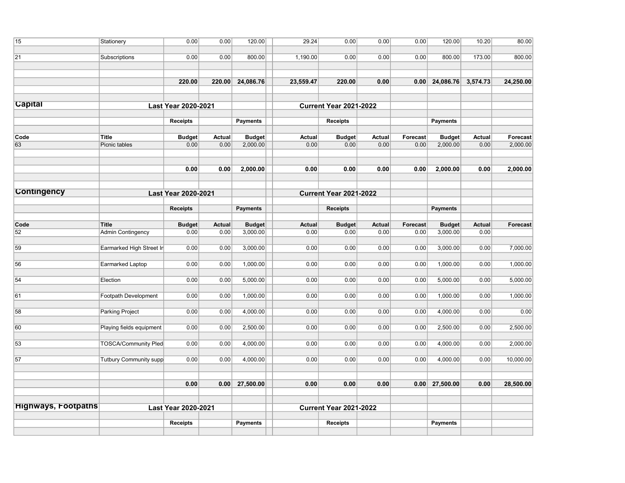| 15                         | Stationery                    | 0.00                       | 0.00          | 120.00                        | 29.24         | 0.00                          | 0.00          | 0.00     | 120.00           | 10.20         | 80.00     |
|----------------------------|-------------------------------|----------------------------|---------------|-------------------------------|---------------|-------------------------------|---------------|----------|------------------|---------------|-----------|
| 21                         | Subscriptions                 | 0.00                       | 0.00          | 800.00                        | 1,190.00      | 0.00                          | 0.00          | 0.00     | 800.00           | 173.00        | 800.00    |
|                            |                               | 220.00                     | 220.00        | 24,086.76                     | 23,559.47     | 220.00                        | 0.00          |          | $0.00$ 24,086.76 | 3,574.73      | 24,250.00 |
| <b>Capital</b>             |                               | <b>Last Year 2020-2021</b> |               |                               |               | <b>Current Year 2021-2022</b> |               |          |                  |               |           |
|                            |                               | <b>Receipts</b>            |               | <b>Payments</b>               |               | <b>Receipts</b>               |               |          | <b>Payments</b>  |               |           |
| Code                       | Title                         | <b>Budget</b>              | <b>Actual</b> | <b>Budget</b>                 | <b>Actual</b> | <b>Budget</b>                 | <b>Actual</b> | Forecast | <b>Budget</b>    | <b>Actual</b> | Forecast  |
| 63                         | Picnic tables                 | 0.00                       | 0.00          | 2,000.00                      | 0.00          | 0.00                          | 0.00          | 0.00     | 2,000.00         | 0.00          | 2,000.00  |
|                            |                               | 0.00                       | 0.00          | 2,000.00                      | 0.00          | 0.00                          | 0.00          | 0.00     | 2,000.00         | 0.00          | 2,000.00  |
| <b>Contingency</b>         | Last Year 2020-2021           |                            |               | <b>Current Year 2021-2022</b> |               |                               |               |          |                  |               |           |
|                            |                               | <b>Receipts</b>            |               | <b>Payments</b>               |               | <b>Receipts</b>               |               |          | <b>Payments</b>  |               |           |
| Code                       | Title                         | <b>Budget</b>              | <b>Actual</b> | <b>Budget</b>                 | <b>Actual</b> | <b>Budget</b>                 | <b>Actual</b> | Forecast | <b>Budget</b>    | <b>Actual</b> | Forecast  |
| 52                         | <b>Admin Contingency</b>      | 0.00                       | 0.00          | 3,000.00                      | 0.00          | 0.00                          | 0.00          | 0.00     | 3,000.00         | 0.00          |           |
| 59                         | Earmarked High Street In      | 0.00                       | 0.00          | 3,000.00                      | 0.00          | 0.00                          | 0.00          | 0.00     | 3,000.00         | 0.00          | 7,000.00  |
| 56                         | Earmarked Laptop              | 0.00                       | 0.00          | 1,000.00                      | 0.00          | 0.00                          | 0.00          | 0.00     | 1,000.00         | 0.00          | 1,000.00  |
| 54                         | Election                      | 0.00                       | 0.00          | 5,000.00                      | 0.00          | 0.00                          | 0.00          | 0.00     | 5,000.00         | 0.00          | 5,000.00  |
| 61                         | Footpath Development          | 0.00                       | 0.00          | 1,000.00                      | 0.00          | 0.00                          | 0.00          | 0.00     | 1,000.00         | 0.00          | 1,000.00  |
| 58                         | Parking Project               | 0.00                       | 0.00          | 4,000.00                      | 0.00          | 0.00                          | 0.00          | 0.00     | 4,000.00         | 0.00          | 0.00      |
| 60                         | Playing fields equipment      | 0.00                       | 0.00          | 2,500.00                      | 0.00          | 0.00                          | 0.00          | 0.00     | 2,500.00         | 0.00          | 2,500.00  |
| 53                         | <b>TOSCA/Community Pled</b>   | 0.00                       | 0.00          | 4,000.00                      | 0.00          | 0.00                          | 0.00          | 0.00     | 4,000.00         | 0.00          | 2,000.00  |
| 57                         | <b>Tutbury Community supp</b> | 0.00                       | 0.00          | 4,000.00                      | 0.00          | 0.00                          | 0.00          | 0.00     | 4,000.00         | 0.00          | 10,000.00 |
|                            |                               | 0.00                       | 0.00          | 27,500.00                     | 0.00          | 0.00                          | 0.00          |          | $0.00$ 27,500.00 | 0.00          | 28,500.00 |
| <b>Highways, Footpaths</b> |                               | Last Year 2020-2021        |               |                               |               | <b>Current Year 2021-2022</b> |               |          |                  |               |           |
|                            |                               | Receipts                   |               | <b>Payments</b>               |               | <b>Receipts</b>               |               |          | <b>Payments</b>  |               |           |
|                            |                               |                            |               |                               |               |                               |               |          |                  |               |           |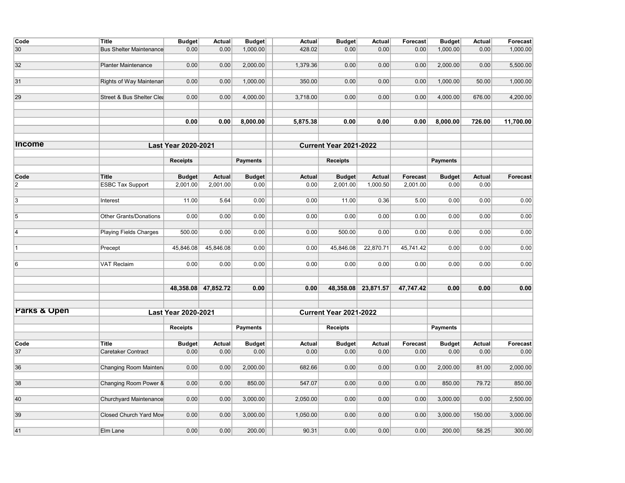| Code                    | <b>Title</b>                   | <b>Budget</b>              | Actual              | <b>Budget</b>   | Actual        | <b>Budget</b>                 | Actual              | Forecast  | <b>Budget</b>   | Actual        | Forecast  |
|-------------------------|--------------------------------|----------------------------|---------------------|-----------------|---------------|-------------------------------|---------------------|-----------|-----------------|---------------|-----------|
| 30                      | <b>Bus Shelter Maintenance</b> | 0.00                       | 0.00                | 1,000.00        | 428.02        | 0.00                          | 0.00                | 0.00      | 1,000.00        | 0.00          | 1,000.00  |
| 32                      | <b>Planter Maintenance</b>     | 0.00                       | 0.00                | 2,000.00        | 1,379.36      | 0.00                          | 0.00                | 0.00      | 2,000.00        | 0.00          | 5,500.00  |
|                         |                                |                            |                     |                 |               |                               |                     |           |                 |               |           |
| 31                      | Rights of Way Maintenan        | 0.00                       | 0.00                | 1,000.00        | 350.00        | 0.00                          | 0.00                | 0.00      | 1,000.00        | 50.00         | 1,000.00  |
| 29                      | Street & Bus Shelter Clea      | 0.00                       | 0.00                | 4,000.00        | 3,718.00      | 0.00                          | 0.00                | 0.00      | 4,000.00        | 676.00        | 4,200.00  |
|                         |                                | 0.00                       | 0.00                |                 |               | 0.00                          | 0.00                | 0.00      | 8,000.00        |               | 11,700.00 |
|                         |                                |                            |                     | 8,000.00        | 5,875.38      |                               |                     |           |                 | 726.00        |           |
| <b>Income</b>           |                                | <b>Last Year 2020-2021</b> |                     |                 |               | <b>Current Year 2021-2022</b> |                     |           |                 |               |           |
|                         |                                | <b>Receipts</b>            |                     | <b>Payments</b> |               | <b>Receipts</b>               |                     |           | <b>Payments</b> |               |           |
|                         |                                |                            |                     |                 |               |                               |                     |           |                 |               |           |
| Code                    | <b>Title</b>                   | <b>Budget</b>              | <b>Actual</b>       | <b>Budget</b>   | <b>Actual</b> | <b>Budget</b>                 | <b>Actual</b>       | Forecast  | <b>Budget</b>   | <b>Actual</b> | Forecast  |
| $\overline{2}$          | <b>ESBC Tax Support</b>        | 2,001.00                   | 2,001.00            | 0.00            | 0.00          | 2,001.00                      | 1,000.50            | 2,001.00  | 0.00            | 0.00          |           |
| 3                       | Interest                       | 11.00                      | 5.64                | 0.00            | 0.00          | 11.00                         | 0.36                | 5.00      | 0.00            | 0.00          | 0.00      |
|                         |                                |                            |                     |                 |               |                               |                     |           |                 |               |           |
| $\sqrt{5}$              | <b>Other Grants/Donations</b>  | 0.00                       | 0.00                | 0.00            | 0.00          | 0.00                          | 0.00                | 0.00      | 0.00            | 0.00          | 0.00      |
| 4                       | Playing Fields Charges         | 500.00                     | 0.00                | 0.00            | 0.00          | 500.00                        | 0.00                | 0.00      | 0.00            | 0.00          | 0.00      |
| 1                       | Precept                        | 45,846.08                  | 45,846.08           | 0.00            | 0.00          | 45,846.08                     | 22,870.71           | 45,741.42 | 0.00            | 0.00          | 0.00      |
| 6                       | <b>VAT Reclaim</b>             | 0.00                       | 0.00                | 0.00            | 0.00          | 0.00                          | 0.00                | 0.00      | 0.00            | 0.00          | 0.00      |
|                         |                                |                            |                     |                 |               |                               |                     |           |                 |               |           |
|                         |                                |                            | 48,358.08 47,852.72 | 0.00            | 0.00          |                               | 48,358.08 23,871.57 | 47,747.42 | 0.00            | 0.00          | 0.00      |
| <b>Parks &amp; Open</b> |                                | Last Year 2020-2021        |                     |                 |               | <b>Current Year 2021-2022</b> |                     |           |                 |               |           |
|                         |                                | <b>Receipts</b>            |                     | <b>Payments</b> |               | <b>Receipts</b>               |                     |           | <b>Payments</b> |               |           |
|                         |                                |                            |                     |                 |               |                               |                     |           |                 |               |           |
| Code                    | Title                          | <b>Budget</b>              | <b>Actual</b>       | <b>Budget</b>   | Actual        | <b>Budget</b>                 | Actual              | Forecast  | <b>Budget</b>   | Actual        | Forecast  |
| 37                      | Caretaker Contract             | 0.00                       | 0.00                | 0.00            | 0.00          | 0.00                          | 0.00                | 0.00      | 0.00            | 0.00          | 0.00      |
| 36                      | Changing Room Mainten          | 0.00                       | 0.00                | 2,000.00        | 682.66        | 0.00                          | 0.00                | 0.00      | 2,000.00        | 81.00         | 2,000.00  |
| 38                      | Changing Room Power &          | 0.00                       | 0.00                | 850.00          | 547.07        | 0.00                          | 0.00                | 0.00      | 850.00          | 79.72         | 850.00    |
|                         |                                |                            |                     |                 |               |                               |                     |           |                 |               |           |
| 40                      | Churchyard Maintenance         | 0.00                       | 0.00                | 3,000.00        | 2,050.00      | 0.00                          | 0.00                | 0.00      | 3,000.00        | 0.00          | 2,500.00  |
| 39                      | <b>Closed Church Yard Mow</b>  | 0.00                       | 0.00                | 3,000.00        | 1,050.00      | 0.00                          | 0.00                | 0.00      | 3,000.00        | 150.00        | 3,000.00  |
| 41                      | Elm Lane                       | 0.00                       | 0.00                | 200.00          | 90.31         | 0.00                          | 0.00                | 0.00      | 200.00          | 58.25         | 300.00    |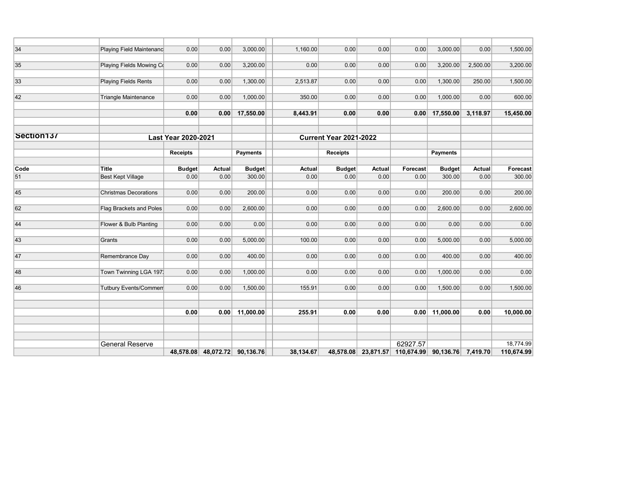| 34         | Playing Field Maintenanc     | 0.00                       | 0.00          | 3,000.00        | 1,160.00      | 0.00                          | 0.00      | 0.00       | 3,000.00           | 0.00          | 1,500.00   |
|------------|------------------------------|----------------------------|---------------|-----------------|---------------|-------------------------------|-----------|------------|--------------------|---------------|------------|
|            |                              |                            |               |                 |               |                               |           |            |                    |               |            |
| 35         | Playing Fields Mowing Co     | 0.00                       | 0.00          | 3,200.00        | 0.00          | 0.00                          | 0.00      | 0.00       | 3,200.00           | 2,500.00      | 3,200.00   |
|            |                              |                            |               |                 |               |                               |           |            |                    |               |            |
| 33         | <b>Playing Fields Rents</b>  | 0.00                       | 0.00          | 1,300.00        | 2,513.87      | 0.00                          | 0.00      | 0.00       | 1,300.00           | 250.00        | 1,500.00   |
|            |                              |                            |               |                 |               |                               |           |            |                    |               |            |
| 42         | <b>Triangle Maintenance</b>  | 0.00                       | 0.00          | 1,000.00        | 350.00        | 0.00                          | 0.00      | 0.00       | 1,000.00           | 0.00          | 600.00     |
|            |                              |                            |               |                 |               |                               |           |            |                    |               |            |
|            |                              | 0.00                       | 0.00          | 17,550.00       | 8,443.91      | 0.00                          | 0.00      | 0.00       | 17,550.00          | 3,118.97      | 15,450.00  |
| Section137 |                              |                            |               |                 |               |                               |           |            |                    |               |            |
|            |                              | <b>Last Year 2020-2021</b> |               |                 |               | <b>Current Year 2021-2022</b> |           |            |                    |               |            |
|            |                              | <b>Receipts</b>            |               | <b>Payments</b> |               | <b>Receipts</b>               |           |            | <b>Payments</b>    |               |            |
| Code       | <b>Title</b>                 | <b>Budget</b>              | <b>Actual</b> | <b>Budget</b>   | <b>Actual</b> | <b>Budget</b>                 | Actual    | Forecast   | <b>Budget</b>      | <b>Actual</b> | Forecast   |
| 51         | <b>Best Kept Village</b>     | 0.00                       | 0.00          | 300.00          | 0.00          | 0.00                          | 0.00      | 0.00       | 300.00             | 0.00          | 300.00     |
| 45         | <b>Christmas Decorations</b> | 0.00                       | 0.00          | 200.00          | 0.00          | 0.00                          | 0.00      | 0.00       | 200.00             | 0.00          | 200.00     |
| 62         | Flag Brackets and Poles      | 0.00                       | 0.00          | 2,600.00        | 0.00          | 0.00                          | 0.00      | 0.00       | 2,600.00           | 0.00          | 2,600.00   |
|            |                              |                            |               |                 |               |                               |           |            |                    |               |            |
| 44         | Flower & Bulb Planting       | 0.00                       | 0.00          | 0.00            | 0.00          | 0.00                          | 0.00      | 0.00       | 0.00               | 0.00          | 0.00       |
| 43         | Grants                       | 0.00                       | 0.00          | 5,000.00        | 100.00        | 0.00                          | 0.00      | 0.00       | 5,000.00           | 0.00          | 5,000.00   |
|            |                              |                            |               |                 |               |                               |           |            |                    |               |            |
| 47         | Remembrance Day              | 0.00                       | 0.00          | 400.00          | 0.00          | 0.00                          | 0.00      | 0.00       | 400.00             | 0.00          | 400.00     |
| 48         | Town Twinning LGA 197:       | 0.00                       | 0.00          | 1,000.00        | 0.00          | 0.00                          | 0.00      | 0.00       | 1,000.00           | 0.00          | 0.00       |
| 46         | <b>Tutbury Events/Commen</b> | 0.00                       | 0.00          | 1,500.00        | 155.91        | 0.00                          | 0.00      | 0.00       | 1,500.00           | 0.00          | 1,500.00   |
|            |                              |                            |               |                 |               |                               |           |            |                    |               |            |
|            |                              | 0.00                       | 0.00          | 11,000.00       | 255.91        | 0.00                          | 0.00      | 0.00       | 11,000.00          | 0.00          | 10,000.00  |
|            |                              |                            |               |                 |               |                               |           |            |                    |               |            |
|            |                              |                            |               |                 |               |                               |           |            |                    |               |            |
|            | <b>General Reserve</b>       |                            |               |                 |               |                               |           | 62927.57   |                    |               | 18,774.99  |
|            |                              | 48,578.08                  | 48,072.72     | 90,136.76       | 38,134.67     | 48,578.08                     | 23,871.57 | 110,674.99 | 90,136.76 7,419.70 |               | 110,674.99 |